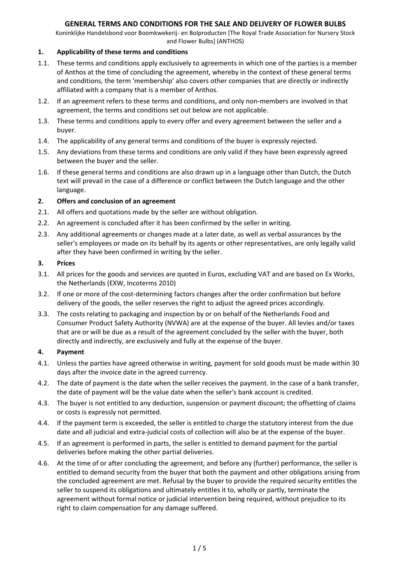Koninklijke Handelsbond voor Boomkwekerij- en Bolproducten [The Royal Trade Association for Nursery Stock and Flower Bulbs] (ANTHOS)

## **1. Applicability of these terms and conditions**

- 1.1. These terms and conditions apply exclusively to agreements in which one of the parties is a member of Anthos at the time of concluding the agreement, whereby in the context of these general terms and conditions, the term 'membership' also covers other companies that are directly or indirectly affiliated with a company that is a member of Anthos.
- 1.2. If an agreement refers to these terms and conditions, and only non-members are involved in that agreement, the terms and conditions set out below are not applicable.
- 1.3. These terms and conditions apply to every offer and every agreement between the seller and a buyer.
- 1.4. The applicability of any general terms and conditions of the buyer is expressly rejected.
- 1.5. Any deviations from these terms and conditions are only valid if they have been expressly agreed between the buyer and the seller.
- 1.6. If these general terms and conditions are also drawn up in a language other than Dutch, the Dutch text will prevail in the case of a difference or conflict between the Dutch language and the other language.

## **2. Offers and conclusion of an agreement**

- 2.1. All offers and quotations made by the seller are without obligation.
- 2.2. An agreement is concluded after it has been confirmed by the seller in writing.
- 2.3. Any additional agreements or changes made at a later date, as well as verbal assurances by the seller's employees or made on its behalf by its agents or other representatives, are only legally valid after they have been confirmed in writing by the seller.

## **3. Prices**

- 3.1. All prices for the goods and services are quoted in Euros, excluding VAT and are based on Ex Works, the Netherlands (EXW, Incoterms 2010)
- 3.2. If one or more of the cost-determining factors changes after the order confirmation but before delivery of the goods, the seller reserves the right to adjust the agreed prices accordingly.
- 3.3. The costs relating to packaging and inspection by or on behalf of the Netherlands Food and Consumer Product Safety Authority (NVWA) are at the expense of the buyer. All levies and/or taxes that are or will be due as a result of the agreement concluded by the seller with the buyer, both directly and indirectly, are exclusively and fully at the expense of the buyer.

## **4. Payment**

- 4.1. Unless the parties have agreed otherwise in writing, payment for sold goods must be made within 30 days after the invoice date in the agreed currency.
- 4.2. The date of payment is the date when the seller receives the payment. In the case of a bank transfer, the date of payment will be the value date when the seller's bank account is credited.
- 4.3. The buyer is not entitled to any deduction, suspension or payment discount; the offsetting of claims or costs is expressly not permitted.
- 4.4. If the payment term is exceeded, the seller is entitled to charge the statutory interest from the due date and all judicial and extra-judicial costs of collection will also be at the expense of the buyer.
- 4.5. If an agreement is performed in parts, the seller is entitled to demand payment for the partial deliveries before making the other partial deliveries.
- 4.6. At the time of or after concluding the agreement, and before any (further) performance, the seller is entitled to demand security from the buyer that both the payment and other obligations arising from the concluded agreement are met. Refusal by the buyer to provide the required security entitles the seller to suspend its obligations and ultimately entitles it to, wholly or partly, terminate the agreement without formal notice or judicial intervention being required, without prejudice to its right to claim compensation for any damage suffered.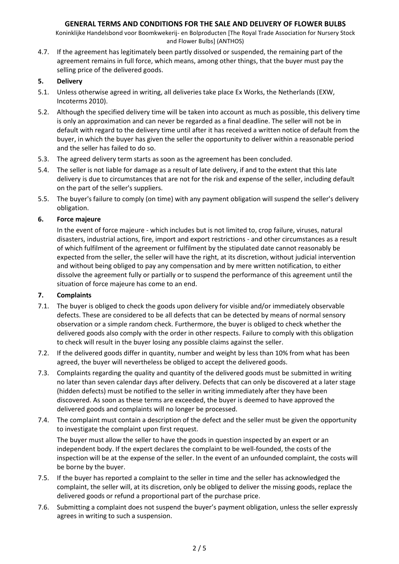Koninklijke Handelsbond voor Boomkwekerij- en Bolproducten [The Royal Trade Association for Nursery Stock and Flower Bulbs] (ANTHOS)

4.7. If the agreement has legitimately been partly dissolved or suspended, the remaining part of the agreement remains in full force, which means, among other things, that the buyer must pay the selling price of the delivered goods.

### **5. Delivery**

- 5.1. Unless otherwise agreed in writing, all deliveries take place Ex Works, the Netherlands (EXW, Incoterms 2010).
- 5.2. Although the specified delivery time will be taken into account as much as possible, this delivery time is only an approximation and can never be regarded as a final deadline. The seller will not be in default with regard to the delivery time until after it has received a written notice of default from the buyer, in which the buyer has given the seller the opportunity to deliver within a reasonable period and the seller has failed to do so.
- 5.3. The agreed delivery term starts as soon as the agreement has been concluded.
- 5.4. The seller is not liable for damage as a result of late delivery, if and to the extent that this late delivery is due to circumstances that are not for the risk and expense of the seller, including default on the part of the seller's suppliers.
- 5.5. The buyer's failure to comply (on time) with any payment obligation will suspend the seller's delivery obligation.

### **6. Force majeure**

In the event of force majeure - which includes but is not limited to, crop failure, viruses, natural disasters, industrial actions, fire, import and export restrictions - and other circumstances as a result of which fulfilment of the agreement or fulfilment by the stipulated date cannot reasonably be expected from the seller, the seller will have the right, at its discretion, without judicial intervention and without being obliged to pay any compensation and by mere written notification, to either dissolve the agreement fully or partially or to suspend the performance of this agreement until the situation of force majeure has come to an end.

## **7. Complaints**

- 7.1. The buyer is obliged to check the goods upon delivery for visible and/or immediately observable defects. These are considered to be all defects that can be detected by means of normal sensory observation or a simple random check. Furthermore, the buyer is obliged to check whether the delivered goods also comply with the order in other respects. Failure to comply with this obligation to check will result in the buyer losing any possible claims against the seller.
- 7.2. If the delivered goods differ in quantity, number and weight by less than 10% from what has been agreed, the buyer will nevertheless be obliged to accept the delivered goods.
- 7.3. Complaints regarding the quality and quantity of the delivered goods must be submitted in writing no later than seven calendar days after delivery. Defects that can only be discovered at a later stage (hidden defects) must be notified to the seller in writing immediately after they have been discovered. As soon as these terms are exceeded, the buyer is deemed to have approved the delivered goods and complaints will no longer be processed.
- 7.4. The complaint must contain a description of the defect and the seller must be given the opportunity to investigate the complaint upon first request.

The buyer must allow the seller to have the goods in question inspected by an expert or an independent body. If the expert declares the complaint to be well-founded, the costs of the inspection will be at the expense of the seller. In the event of an unfounded complaint, the costs will be borne by the buyer.

- 7.5. If the buyer has reported a complaint to the seller in time and the seller has acknowledged the complaint, the seller will, at its discretion, only be obliged to deliver the missing goods, replace the delivered goods or refund a proportional part of the purchase price.
- 7.6. Submitting a complaint does not suspend the buyer's payment obligation, unless the seller expressly agrees in writing to such a suspension.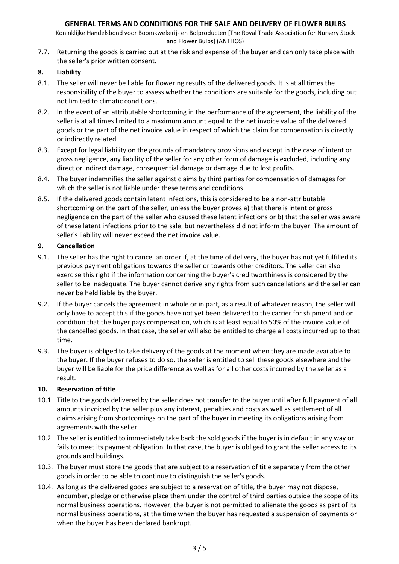Koninklijke Handelsbond voor Boomkwekerij- en Bolproducten [The Royal Trade Association for Nursery Stock and Flower Bulbs] (ANTHOS)

7.7. Returning the goods is carried out at the risk and expense of the buyer and can only take place with the seller's prior written consent.

#### **8. Liability**

- 8.1. The seller will never be liable for flowering results of the delivered goods. It is at all times the responsibility of the buyer to assess whether the conditions are suitable for the goods, including but not limited to climatic conditions.
- 8.2. In the event of an attributable shortcoming in the performance of the agreement, the liability of the seller is at all times limited to a maximum amount equal to the net invoice value of the delivered goods or the part of the net invoice value in respect of which the claim for compensation is directly or indirectly related.
- 8.3. Except for legal liability on the grounds of mandatory provisions and except in the case of intent or gross negligence, any liability of the seller for any other form of damage is excluded, including any direct or indirect damage, consequential damage or damage due to lost profits.
- 8.4. The buyer indemnifies the seller against claims by third parties for compensation of damages for which the seller is not liable under these terms and conditions.
- 8.5. If the delivered goods contain latent infections, this is considered to be a non-attributable shortcoming on the part of the seller, unless the buyer proves a) that there is intent or gross negligence on the part of the seller who caused these latent infections or b) that the seller was aware of these latent infections prior to the sale, but nevertheless did not inform the buyer. The amount of seller's liability will never exceed the net invoice value.

### **9. Cancellation**

- 9.1. The seller has the right to cancel an order if, at the time of delivery, the buyer has not yet fulfilled its previous payment obligations towards the seller or towards other creditors. The seller can also exercise this right if the information concerning the buyer's creditworthiness is considered by the seller to be inadequate. The buyer cannot derive any rights from such cancellations and the seller can never be held liable by the buyer.
- 9.2. If the buyer cancels the agreement in whole or in part, as a result of whatever reason, the seller will only have to accept this if the goods have not yet been delivered to the carrier for shipment and on condition that the buyer pays compensation, which is at least equal to 50% of the invoice value of the cancelled goods. In that case, the seller will also be entitled to charge all costs incurred up to that time.
- 9.3. The buyer is obliged to take delivery of the goods at the moment when they are made available to the buyer. If the buyer refuses to do so, the seller is entitled to sell these goods elsewhere and the buyer will be liable for the price difference as well as for all other costs incurred by the seller as a result.

#### **10. Reservation of title**

- 10.1. Title to the goods delivered by the seller does not transfer to the buyer until after full payment of all amounts invoiced by the seller plus any interest, penalties and costs as well as settlement of all claims arising from shortcomings on the part of the buyer in meeting its obligations arising from agreements with the seller.
- 10.2. The seller is entitled to immediately take back the sold goods if the buyer is in default in any way or fails to meet its payment obligation. In that case, the buyer is obliged to grant the seller access to its grounds and buildings.
- 10.3. The buyer must store the goods that are subject to a reservation of title separately from the other goods in order to be able to continue to distinguish the seller's goods.
- 10.4. As long as the delivered goods are subject to a reservation of title, the buyer may not dispose, encumber, pledge or otherwise place them under the control of third parties outside the scope of its normal business operations. However, the buyer is not permitted to alienate the goods as part of its normal business operations, at the time when the buyer has requested a suspension of payments or when the buyer has been declared bankrupt.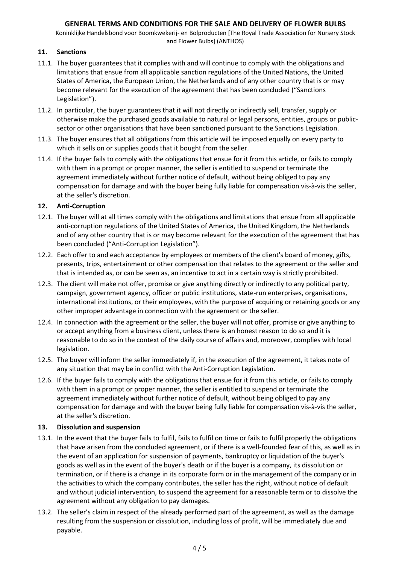Koninklijke Handelsbond voor Boomkwekerij- en Bolproducten [The Royal Trade Association for Nursery Stock and Flower Bulbs] (ANTHOS)

## **11. Sanctions**

- 11.1. The buyer guarantees that it complies with and will continue to comply with the obligations and limitations that ensue from all applicable sanction regulations of the United Nations, the United States of America, the European Union, the Netherlands and of any other country that is or may become relevant for the execution of the agreement that has been concluded ("Sanctions Legislation").
- 11.2. In particular, the buyer guarantees that it will not directly or indirectly sell, transfer, supply or otherwise make the purchased goods available to natural or legal persons, entities, groups or publicsector or other organisations that have been sanctioned pursuant to the Sanctions Legislation.
- 11.3. The buyer ensures that all obligations from this article will be imposed equally on every party to which it sells on or supplies goods that it bought from the seller.
- 11.4. If the buyer fails to comply with the obligations that ensue for it from this article, or fails to comply with them in a prompt or proper manner, the seller is entitled to suspend or terminate the agreement immediately without further notice of default, without being obliged to pay any compensation for damage and with the buyer being fully liable for compensation vis-à-vis the seller, at the seller's discretion.

## **12. Anti-Corruption**

- 12.1. The buyer will at all times comply with the obligations and limitations that ensue from all applicable anti-corruption regulations of the United States of America, the United Kingdom, the Netherlands and of any other country that is or may become relevant for the execution of the agreement that has been concluded ("Anti-Corruption Legislation").
- 12.2. Each offer to and each acceptance by employees or members of the client's board of money, gifts, presents, trips, entertainment or other compensation that relates to the agreement or the seller and that is intended as, or can be seen as, an incentive to act in a certain way is strictly prohibited.
- 12.3. The client will make not offer, promise or give anything directly or indirectly to any political party, campaign, government agency, officer or public institutions, state-run enterprises, organisations, international institutions, or their employees, with the purpose of acquiring or retaining goods or any other improper advantage in connection with the agreement or the seller.
- 12.4. In connection with the agreement or the seller, the buyer will not offer, promise or give anything to or accept anything from a business client, unless there is an honest reason to do so and it is reasonable to do so in the context of the daily course of affairs and, moreover, complies with local legislation.
- 12.5. The buyer will inform the seller immediately if, in the execution of the agreement, it takes note of any situation that may be in conflict with the Anti-Corruption Legislation.
- 12.6. If the buyer fails to comply with the obligations that ensue for it from this article, or fails to comply with them in a prompt or proper manner, the seller is entitled to suspend or terminate the agreement immediately without further notice of default, without being obliged to pay any compensation for damage and with the buyer being fully liable for compensation vis-à-vis the seller, at the seller's discretion.

## **13. Dissolution and suspension**

- 13.1. In the event that the buyer fails to fulfil, fails to fulfil on time or fails to fulfil properly the obligations that have arisen from the concluded agreement, or if there is a well-founded fear of this, as well as in the event of an application for suspension of payments, bankruptcy or liquidation of the buyer's goods as well as in the event of the buyer's death or if the buyer is a company, its dissolution or termination, or if there is a change in its corporate form or in the management of the company or in the activities to which the company contributes, the seller has the right, without notice of default and without judicial intervention, to suspend the agreement for a reasonable term or to dissolve the agreement without any obligation to pay damages.
- 13.2. The seller's claim in respect of the already performed part of the agreement, as well as the damage resulting from the suspension or dissolution, including loss of profit, will be immediately due and payable.